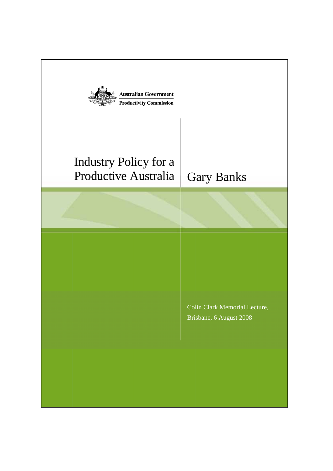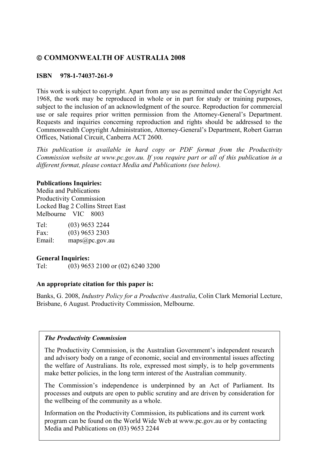#### © **COMMONWEALTH OF AUSTRALIA 2008**

#### **ISBN 978-1-74037-261-9**

This work is subject to copyright. Apart from any use as permitted under the Copyright Act 1968, the work may be reproduced in whole or in part for study or training purposes, subject to the inclusion of an acknowledgment of the source. Reproduction for commercial use or sale requires prior written permission from the Attorney-General's Department. Requests and inquiries concerning reproduction and rights should be addressed to the Commonwealth Copyright Administration, Attorney-General's Department, Robert Garran Offices, National Circuit, Canberra ACT 2600.

*This publication is available in hard copy or PDF format from the Productivity Commission website at www.pc.gov.au. If you require part or all of this publication in a different format, please contact Media and Publications (see below).* 

#### **Publications Inquiries:**

Media and Publications Productivity Commission Locked Bag 2 Collins Street East Melbourne VIC 8003

Tel: (03) 9653 2244 Fax: (03) 9653 2303 Email: maps@pc.gov.au

#### **General Inquiries:**

Tel: (03) 9653 2100 or (02) 6240 3200

#### **An appropriate citation for this paper is:**

Banks, G. 2008, *Industry Policy for a Productive Australia*, Colin Clark Memorial Lecture, Brisbane, 6 August. Productivity Commission, Melbourne.

#### *The Productivity Commission*

The Productivity Commission, is the Australian Government's independent research and advisory body on a range of economic, social and environmental issues affecting the welfare of Australians. Its role, expressed most simply, is to help governments make better policies, in the long term interest of the Australian community.

The Commission's independence is underpinned by an Act of Parliament. Its processes and outputs are open to public scrutiny and are driven by consideration for the wellbeing of the community as a whole.

Information on the Productivity Commission, its publications and its current work program can be found on the World Wide Web at www.pc.gov.au or by contacting Media and Publications on (03) 9653 2244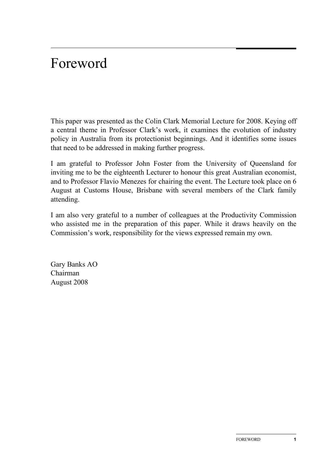# Foreword

This paper was presented as the Colin Clark Memorial Lecture for 2008. Keying off a central theme in Professor Clark's work, it examines the evolution of industry policy in Australia from its protectionist beginnings. And it identifies some issues that need to be addressed in making further progress.

I am grateful to Professor John Foster from the University of Queensland for inviting me to be the eighteenth Lecturer to honour this great Australian economist, and to Professor Flavio Menezes for chairing the event. The Lecture took place on 6 August at Customs House, Brisbane with several members of the Clark family attending.

I am also very grateful to a number of colleagues at the Productivity Commission who assisted me in the preparation of this paper. While it draws heavily on the Commission's work, responsibility for the views expressed remain my own.

Gary Banks AO Chairman August 2008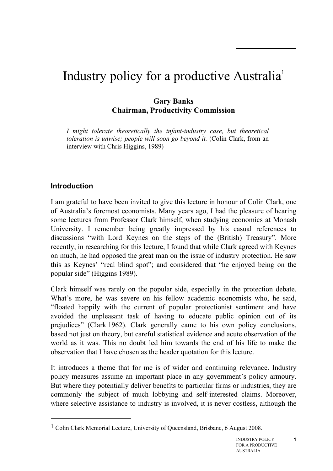# Industry policy for a productive Australia<sup>1</sup>

### **Gary Banks Chairman, Productivity Commission**

*I might tolerate theoretically the infant-industry case, but theoretical toleration is unwise; people will soon go beyond it.* (Colin Clark, from an interview with Chris Higgins, 1989)

#### **Introduction**

 $\overline{a}$ 

I am grateful to have been invited to give this lecture in honour of Colin Clark, one of Australia's foremost economists. Many years ago, I had the pleasure of hearing some lectures from Professor Clark himself, when studying economics at Monash University. I remember being greatly impressed by his casual references to discussions "with Lord Keynes on the steps of the (British) Treasury". More recently, in researching for this lecture, I found that while Clark agreed with Keynes on much, he had opposed the great man on the issue of industry protection. He saw this as Keynes' "real blind spot"; and considered that "he enjoyed being on the popular side" (Higgins 1989).

Clark himself was rarely on the popular side, especially in the protection debate. What's more, he was severe on his fellow academic economists who, he said, "floated happily with the current of popular protectionist sentiment and have avoided the unpleasant task of having to educate public opinion out of its prejudices" (Clark 1962). Clark generally came to his own policy conclusions, based not just on theory, but careful statistical evidence and acute observation of the world as it was. This no doubt led him towards the end of his life to make the observation that I have chosen as the header quotation for this lecture.

It introduces a theme that for me is of wider and continuing relevance. Industry policy measures assume an important place in any government's policy armoury. But where they potentially deliver benefits to particular firms or industries, they are commonly the subject of much lobbying and self-interested claims. Moreover, where selective assistance to industry is involved, it is never costless, although the

<sup>1</sup> Colin Clark Memorial Lecture, University of Queensland, Brisbane, 6 August 2008.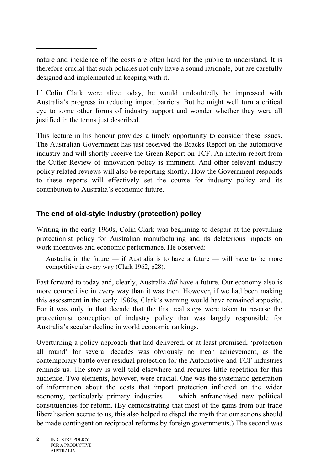nature and incidence of the costs are often hard for the public to understand. It is therefore crucial that such policies not only have a sound rationale, but are carefully designed and implemented in keeping with it.

If Colin Clark were alive today, he would undoubtedly be impressed with Australia's progress in reducing import barriers. But he might well turn a critical eye to some other forms of industry support and wonder whether they were all justified in the terms just described.

This lecture in his honour provides a timely opportunity to consider these issues. The Australian Government has just received the Bracks Report on the automotive industry and will shortly receive the Green Report on TCF. An interim report from the Cutler Review of innovation policy is imminent. And other relevant industry policy related reviews will also be reporting shortly. How the Government responds to these reports will effectively set the course for industry policy and its contribution to Australia's economic future.

# **The end of old-style industry (protection) policy**

Writing in the early 1960s, Colin Clark was beginning to despair at the prevailing protectionist policy for Australian manufacturing and its deleterious impacts on work incentives and economic performance. He observed:

Australia in the future  $-$  if Australia is to have a future  $-$  will have to be more competitive in every way (Clark 1962, p28).

Fast forward to today and, clearly, Australia *did* have a future. Our economy also is more competitive in every way than it was then. However, if we had been making this assessment in the early 1980s, Clark's warning would have remained apposite. For it was only in that decade that the first real steps were taken to reverse the protectionist conception of industry policy that was largely responsible for Australia's secular decline in world economic rankings.

Overturning a policy approach that had delivered, or at least promised, 'protection all round' for several decades was obviously no mean achievement, as the contemporary battle over residual protection for the Automotive and TCF industries reminds us. The story is well told elsewhere and requires little repetition for this audience. Two elements, however, were crucial. One was the systematic generation of information about the costs that import protection inflicted on the wider economy, particularly primary industries — which enfranchised new political constituencies for reform. (By demonstrating that most of the gains from our trade liberalisation accrue to us, this also helped to dispel the myth that our actions should be made contingent on reciprocal reforms by foreign governments.) The second was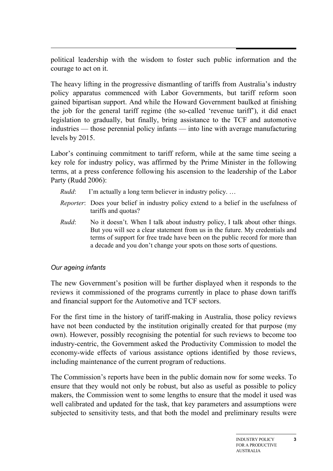political leadership with the wisdom to foster such public information and the courage to act on it.

The heavy lifting in the progressive dismantling of tariffs from Australia's industry policy apparatus commenced with Labor Governments, but tariff reform soon gained bipartisan support. And while the Howard Government baulked at finishing the job for the general tariff regime (the so-called 'revenue tariff'), it did enact legislation to gradually, but finally, bring assistance to the TCF and automotive industries — those perennial policy infants — into line with average manufacturing levels by 2015.

Labor's continuing commitment to tariff reform, while at the same time seeing a key role for industry policy, was affirmed by the Prime Minister in the following terms, at a press conference following his ascension to the leadership of the Labor Party (Rudd 2006):

- *Rudd*: I'm actually a long term believer in industry policy....
- *Reporter*: Does your belief in industry policy extend to a belief in the usefulness of tariffs and quotas?
- *Rudd*: No it doesn't. When I talk about industry policy, I talk about other things. But you will see a clear statement from us in the future. My credentials and terms of support for free trade have been on the public record for more than a decade and you don't change your spots on those sorts of questions.

#### *Our ageing infants*

The new Government's position will be further displayed when it responds to the reviews it commissioned of the programs currently in place to phase down tariffs and financial support for the Automotive and TCF sectors.

For the first time in the history of tariff-making in Australia, those policy reviews have not been conducted by the institution originally created for that purpose (my own). However, possibly recognising the potential for such reviews to become too industry-centric, the Government asked the Productivity Commission to model the economy-wide effects of various assistance options identified by those reviews, including maintenance of the current program of reductions.

The Commission's reports have been in the public domain now for some weeks. To ensure that they would not only be robust, but also as useful as possible to policy makers, the Commission went to some lengths to ensure that the model it used was well calibrated and updated for the task, that key parameters and assumptions were subjected to sensitivity tests, and that both the model and preliminary results were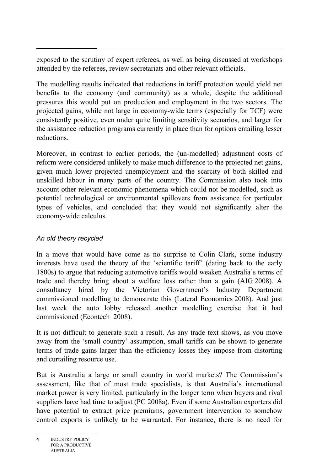exposed to the scrutiny of expert referees, as well as being discussed at workshops attended by the referees, review secretariats and other relevant officials.

The modelling results indicated that reductions in tariff protection would yield net benefits to the economy (and community) as a whole, despite the additional pressures this would put on production and employment in the two sectors. The projected gains, while not large in economy-wide terms (especially for TCF) were consistently positive, even under quite limiting sensitivity scenarios, and larger for the assistance reduction programs currently in place than for options entailing lesser reductions.

Moreover, in contrast to earlier periods, the (un-modelled) adjustment costs of reform were considered unlikely to make much difference to the projected net gains, given much lower projected unemployment and the scarcity of both skilled and unskilled labour in many parts of the country. The Commission also took into account other relevant economic phenomena which could not be modelled, such as potential technological or environmental spillovers from assistance for particular types of vehicles, and concluded that they would not significantly alter the economy-wide calculus.

### *An old theory recycled*

In a move that would have come as no surprise to Colin Clark, some industry interests have used the theory of the 'scientific tariff' (dating back to the early 1800s) to argue that reducing automotive tariffs would weaken Australia's terms of trade and thereby bring about a welfare loss rather than a gain (AIG 2008). A consultancy hired by the Victorian Government's Industry Department commissioned modelling to demonstrate this (Lateral Economics 2008). And just last week the auto lobby released another modelling exercise that it had commissioned (Econtech 2008).

It is not difficult to generate such a result. As any trade text shows, as you move away from the 'small country' assumption, small tariffs can be shown to generate terms of trade gains larger than the efficiency losses they impose from distorting and curtailing resource use.

But is Australia a large or small country in world markets? The Commission's assessment, like that of most trade specialists, is that Australia's international market power is very limited, particularly in the longer term when buyers and rival suppliers have had time to adjust (PC 2008a). Even if some Australian exporters did have potential to extract price premiums, government intervention to somehow control exports is unlikely to be warranted. For instance, there is no need for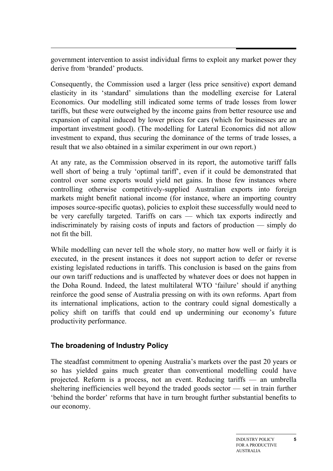government intervention to assist individual firms to exploit any market power they derive from 'branded' products.

Consequently, the Commission used a larger (less price sensitive) export demand elasticity in its 'standard' simulations than the modelling exercise for Lateral Economics. Our modelling still indicated some terms of trade losses from lower tariffs, but these were outweighed by the income gains from better resource use and expansion of capital induced by lower prices for cars (which for businesses are an important investment good). (The modelling for Lateral Economics did not allow investment to expand, thus securing the dominance of the terms of trade losses, a result that we also obtained in a similar experiment in our own report.)

At any rate, as the Commission observed in its report, the automotive tariff falls well short of being a truly 'optimal tariff', even if it could be demonstrated that control over some exports would yield net gains. In those few instances where controlling otherwise competitively-supplied Australian exports into foreign markets might benefit national income (for instance, where an importing country imposes source-specific quotas), policies to exploit these successfully would need to be very carefully targeted. Tariffs on cars — which tax exports indirectly and indiscriminately by raising costs of inputs and factors of production — simply do not fit the bill.

While modelling can never tell the whole story, no matter how well or fairly it is executed, in the present instances it does not support action to defer or reverse existing legislated reductions in tariffs. This conclusion is based on the gains from our own tariff reductions and is unaffected by whatever does or does not happen in the Doha Round. Indeed, the latest multilateral WTO 'failure' should if anything reinforce the good sense of Australia pressing on with its own reforms. Apart from its international implications, action to the contrary could signal domestically a policy shift on tariffs that could end up undermining our economy's future productivity performance.

# **The broadening of Industry Policy**

The steadfast commitment to opening Australia's markets over the past 20 years or so has yielded gains much greater than conventional modelling could have projected. Reform is a process, not an event. Reducing tariffs — an umbrella sheltering inefficiencies well beyond the traded goods sector — set in train further 'behind the border' reforms that have in turn brought further substantial benefits to our economy.

**5**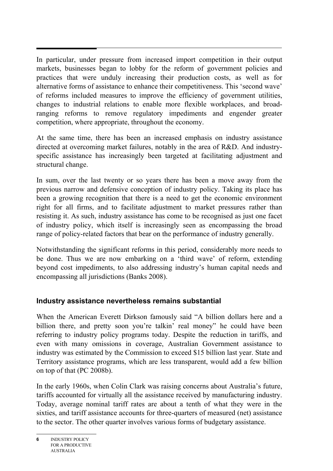$\overline{a}$ In particular, under pressure from increased import competition in their output markets, businesses began to lobby for the reform of government policies and practices that were unduly increasing their production costs, as well as for alternative forms of assistance to enhance their competitiveness. This 'second wave' of reforms included measures to improve the efficiency of government utilities, changes to industrial relations to enable more flexible workplaces, and broadranging reforms to remove regulatory impediments and engender greater competition, where appropriate, throughout the economy.

At the same time, there has been an increased emphasis on industry assistance directed at overcoming market failures, notably in the area of R&D. And industryspecific assistance has increasingly been targeted at facilitating adjustment and structural change.

In sum, over the last twenty or so years there has been a move away from the previous narrow and defensive conception of industry policy. Taking its place has been a growing recognition that there is a need to get the economic environment right for all firms, and to facilitate adjustment to market pressures rather than resisting it. As such, industry assistance has come to be recognised as just one facet of industry policy, which itself is increasingly seen as encompassing the broad range of policy-related factors that bear on the performance of industry generally.

Notwithstanding the significant reforms in this period, considerably more needs to be done. Thus we are now embarking on a 'third wave' of reform, extending beyond cost impediments, to also addressing industry's human capital needs and encompassing all jurisdictions (Banks 2008).

### **Industry assistance nevertheless remains substantial**

When the American Everett Dirkson famously said "A billion dollars here and a billion there, and pretty soon you're talkin' real money" he could have been referring to industry policy programs today. Despite the reduction in tariffs, and even with many omissions in coverage, Australian Government assistance to industry was estimated by the Commission to exceed \$15 billion last year. State and Territory assistance programs, which are less transparent, would add a few billion on top of that (PC 2008b).

In the early 1960s, when Colin Clark was raising concerns about Australia's future, tariffs accounted for virtually all the assistance received by manufacturing industry. Today, average nominal tariff rates are about a tenth of what they were in the sixties, and tariff assistance accounts for three-quarters of measured (net) assistance to the sector. The other quarter involves various forms of budgetary assistance.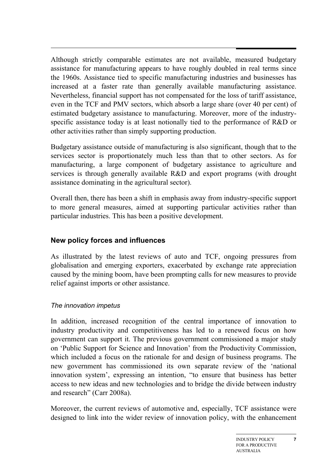Although strictly comparable estimates are not available, measured budgetary assistance for manufacturing appears to have roughly doubled in real terms since the 1960s. Assistance tied to specific manufacturing industries and businesses has increased at a faster rate than generally available manufacturing assistance. Nevertheless, financial support has not compensated for the loss of tariff assistance, even in the TCF and PMV sectors, which absorb a large share (over 40 per cent) of estimated budgetary assistance to manufacturing. Moreover, more of the industryspecific assistance today is at least notionally tied to the performance of R&D or other activities rather than simply supporting production.

Budgetary assistance outside of manufacturing is also significant, though that to the services sector is proportionately much less than that to other sectors. As for manufacturing, a large component of budgetary assistance to agriculture and services is through generally available R&D and export programs (with drought assistance dominating in the agricultural sector).

Overall then, there has been a shift in emphasis away from industry-specific support to more general measures, aimed at supporting particular activities rather than particular industries. This has been a positive development.

# **New policy forces and influences**

As illustrated by the latest reviews of auto and TCF, ongoing pressures from globalisation and emerging exporters, exacerbated by exchange rate appreciation caused by the mining boom, have been prompting calls for new measures to provide relief against imports or other assistance.

### *The innovation impetus*

In addition, increased recognition of the central importance of innovation to industry productivity and competitiveness has led to a renewed focus on how government can support it. The previous government commissioned a major study on 'Public Support for Science and Innovation' from the Productivity Commission, which included a focus on the rationale for and design of business programs. The new government has commissioned its own separate review of the 'national innovation system', expressing an intention, "to ensure that business has better access to new ideas and new technologies and to bridge the divide between industry and research" (Carr 2008a).

Moreover, the current reviews of automotive and, especially, TCF assistance were designed to link into the wider review of innovation policy, with the enhancement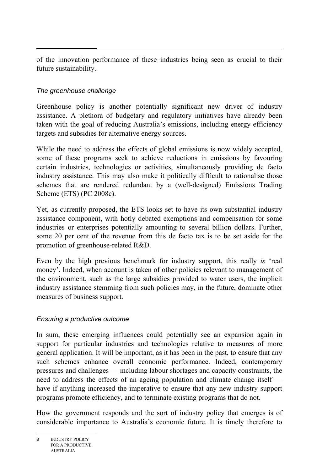of the innovation performance of these industries being seen as crucial to their future sustainability.

## *The greenhouse challenge*

Greenhouse policy is another potentially significant new driver of industry assistance. A plethora of budgetary and regulatory initiatives have already been taken with the goal of reducing Australia's emissions, including energy efficiency targets and subsidies for alternative energy sources.

While the need to address the effects of global emissions is now widely accepted, some of these programs seek to achieve reductions in emissions by favouring certain industries, technologies or activities, simultaneously providing de facto industry assistance. This may also make it politically difficult to rationalise those schemes that are rendered redundant by a (well-designed) Emissions Trading Scheme (ETS) (PC 2008c).

Yet, as currently proposed, the ETS looks set to have its own substantial industry assistance component, with hotly debated exemptions and compensation for some industries or enterprises potentially amounting to several billion dollars. Further, some 20 per cent of the revenue from this de facto tax is to be set aside for the promotion of greenhouse-related R&D.

Even by the high previous benchmark for industry support, this really *is* 'real money'. Indeed, when account is taken of other policies relevant to management of the environment, such as the large subsidies provided to water users, the implicit industry assistance stemming from such policies may, in the future, dominate other measures of business support.

### *Ensuring a productive outcome*

In sum, these emerging influences could potentially see an expansion again in support for particular industries and technologies relative to measures of more general application. It will be important, as it has been in the past, to ensure that any such schemes enhance overall economic performance. Indeed, contemporary pressures and challenges — including labour shortages and capacity constraints, the need to address the effects of an ageing population and climate change itself have if anything increased the imperative to ensure that any new industry support programs promote efficiency, and to terminate existing programs that do not.

How the government responds and the sort of industry policy that emerges is of considerable importance to Australia's economic future. It is timely therefore to

**<sup>8</sup>** INDUSTRY POLICY FOR A PRODUCTIVE AUSTRALIA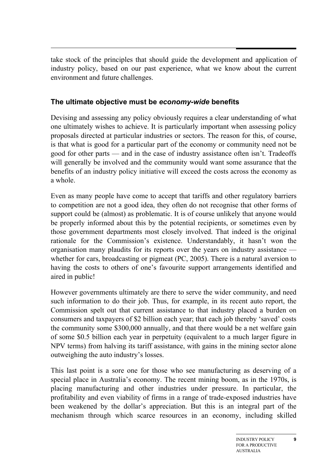take stock of the principles that should guide the development and application of industry policy, based on our past experience, what we know about the current environment and future challenges.

## **The ultimate objective must be** *economy-wide* **benefits**

Devising and assessing any policy obviously requires a clear understanding of what one ultimately wishes to achieve. It is particularly important when assessing policy proposals directed at particular industries or sectors. The reason for this, of course, is that what is good for a particular part of the economy or community need not be good for other parts — and in the case of industry assistance often isn't. Tradeoffs will generally be involved and the community would want some assurance that the benefits of an industry policy initiative will exceed the costs across the economy as a whole.

Even as many people have come to accept that tariffs and other regulatory barriers to competition are not a good idea, they often do not recognise that other forms of support could be (almost) as problematic. It is of course unlikely that anyone would be properly informed about this by the potential recipients, or sometimes even by those government departments most closely involved. That indeed is the original rationale for the Commission's existence. Understandably, it hasn't won the organisation many plaudits for its reports over the years on industry assistance whether for cars, broadcasting or pigmeat (PC, 2005). There is a natural aversion to having the costs to others of one's favourite support arrangements identified and aired in public!

However governments ultimately are there to serve the wider community, and need such information to do their job. Thus, for example, in its recent auto report, the Commission spelt out that current assistance to that industry placed a burden on consumers and taxpayers of \$2 billion each year; that each job thereby 'saved' costs the community some \$300,000 annually, and that there would be a net welfare gain of some \$0.5 billion each year in perpetuity (equivalent to a much larger figure in NPV terms) from halving its tariff assistance, with gains in the mining sector alone outweighing the auto industry's losses.

This last point is a sore one for those who see manufacturing as deserving of a special place in Australia's economy. The recent mining boom, as in the 1970s, is placing manufacturing and other industries under pressure. In particular, the profitability and even viability of firms in a range of trade-exposed industries have been weakened by the dollar's appreciation. But this is an integral part of the mechanism through which scarce resources in an economy, including skilled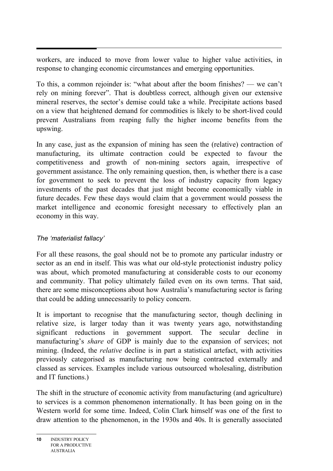workers, are induced to move from lower value to higher value activities, in response to changing economic circumstances and emerging opportunities.

To this, a common rejoinder is: "what about after the boom finishes? — we can't rely on mining forever". That is doubtless correct, although given our extensive mineral reserves, the sector's demise could take a while. Precipitate actions based on a view that heightened demand for commodities is likely to be short-lived could prevent Australians from reaping fully the higher income benefits from the upswing.

In any case, just as the expansion of mining has seen the (relative) contraction of manufacturing, its ultimate contraction could be expected to favour the competitiveness and growth of non-mining sectors again, irrespective of government assistance. The only remaining question, then, is whether there is a case for government to seek to prevent the loss of industry capacity from legacy investments of the past decades that just might become economically viable in future decades. Few these days would claim that a government would possess the market intelligence and economic foresight necessary to effectively plan an economy in this way.

### *The 'materialist fallacy'*

For all these reasons, the goal should not be to promote any particular industry or sector as an end in itself. This was what our old-style protectionist industry policy was about, which promoted manufacturing at considerable costs to our economy and community. That policy ultimately failed even on its own terms. That said, there are some misconceptions about how Australia's manufacturing sector is faring that could be adding unnecessarily to policy concern.

It is important to recognise that the manufacturing sector, though declining in relative size, is larger today than it was twenty years ago, notwithstanding significant reductions in government support. The secular decline in manufacturing's *share* of GDP is mainly due to the expansion of services; not mining. (Indeed, the *relative* decline is in part a statistical artefact, with activities previously categorised as manufacturing now being contracted externally and classed as services. Examples include various outsourced wholesaling, distribution and IT functions.)

The shift in the structure of economic activity from manufacturing (and agriculture) to services is a common phenomenon internationally. It has been going on in the Western world for some time. Indeed, Colin Clark himself was one of the first to draw attention to the phenomenon, in the 1930s and 40s. It is generally associated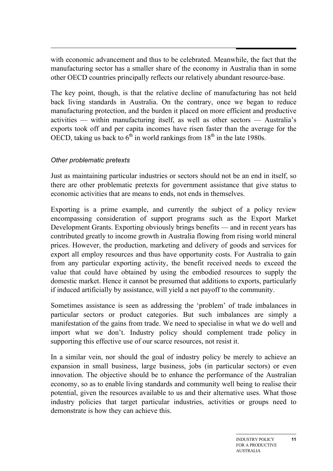with economic advancement and thus to be celebrated. Meanwhile, the fact that the manufacturing sector has a smaller share of the economy in Australia than in some other OECD countries principally reflects our relatively abundant resource-base.

The key point, though, is that the relative decline of manufacturing has not held back living standards in Australia. On the contrary, once we began to reduce manufacturing protection, and the burden it placed on more efficient and productive activities — within manufacturing itself, as well as other sectors — Australia's exports took off and per capita incomes have risen faster than the average for the OECD, taking us back to  $6<sup>th</sup>$  in world rankings from  $18<sup>th</sup>$  in the late 1980s.

### *Other problematic pretexts*

Just as maintaining particular industries or sectors should not be an end in itself, so there are other problematic pretexts for government assistance that give status to economic activities that are means to ends, not ends in themselves.

Exporting is a prime example, and currently the subject of a policy review encompassing consideration of support programs such as the Export Market Development Grants. Exporting obviously brings benefits — and in recent years has contributed greatly to income growth in Australia flowing from rising world mineral prices. However, the production, marketing and delivery of goods and services for export all employ resources and thus have opportunity costs. For Australia to gain from any particular exporting activity, the benefit received needs to exceed the value that could have obtained by using the embodied resources to supply the domestic market. Hence it cannot be presumed that additions to exports, particularly if induced artificially by assistance, will yield a net payoff to the community.

Sometimes assistance is seen as addressing the 'problem' of trade imbalances in particular sectors or product categories. But such imbalances are simply a manifestation of the gains from trade. We need to specialise in what we do well and import what we don't. Industry policy should complement trade policy in supporting this effective use of our scarce resources, not resist it.

In a similar vein, nor should the goal of industry policy be merely to achieve an expansion in small business, large business, jobs (in particular sectors) or even innovation. The objective should be to enhance the performance of the Australian economy, so as to enable living standards and community well being to realise their potential, given the resources available to us and their alternative uses. What those industry policies that target particular industries, activities or groups need to demonstrate is how they can achieve this.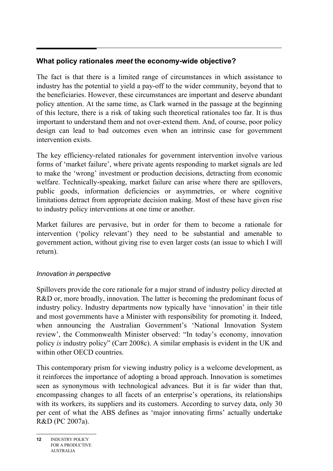# **What policy rationales** *meet* **the economy-wide objective?**

The fact is that there is a limited range of circumstances in which assistance to industry has the potential to yield a pay-off to the wider community, beyond that to the beneficiaries. However, these circumstances are important and deserve abundant policy attention. At the same time, as Clark warned in the passage at the beginning of this lecture, there is a risk of taking such theoretical rationales too far. It is thus important to understand them and not over-extend them. And, of course, poor policy design can lead to bad outcomes even when an intrinsic case for government intervention exists.

The key efficiency-related rationales for government intervention involve various forms of 'market failure', where private agents responding to market signals are led to make the 'wrong' investment or production decisions, detracting from economic welfare. Technically-speaking, market failure can arise where there are spillovers, public goods, information deficiencies or asymmetries, or where cognitive limitations detract from appropriate decision making. Most of these have given rise to industry policy interventions at one time or another.

Market failures are pervasive, but in order for them to become a rationale for intervention ('policy relevant') they need to be substantial and amenable to government action, without giving rise to even larger costs (an issue to which I will return).

# *Innovation in perspective*

Spillovers provide the core rationale for a major strand of industry policy directed at R&D or, more broadly, innovation. The latter is becoming the predominant focus of industry policy. Industry departments now typically have 'innovation' in their title and most governments have a Minister with responsibility for promoting it. Indeed, when announcing the Australian Government's 'National Innovation System review', the Commonwealth Minister observed: "In today's economy, innovation policy *is* industry policy" (Carr 2008c). A similar emphasis is evident in the UK and within other OECD countries.

This contemporary prism for viewing industry policy is a welcome development, as it reinforces the importance of adopting a broad approach. Innovation is sometimes seen as synonymous with technological advances. But it is far wider than that, encompassing changes to all facets of an enterprise's operations, its relationships with its workers, its suppliers and its customers. According to survey data, only 30 per cent of what the ABS defines as 'major innovating firms' actually undertake R&D (PC 2007a).

**<sup>12</sup>** INDUSTRY POLICY FOR A PRODUCTIVE AUSTRALIA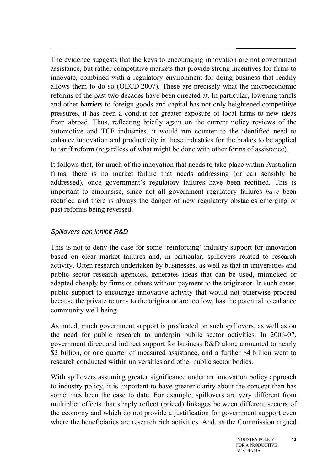$\overline{a}$ The evidence suggests that the keys to encouraging innovation are not government assistance, but rather competitive markets that provide strong incentives for firms to innovate, combined with a regulatory environment for doing business that readily allows them to do so (OECD 2007). These are precisely what the microeconomic reforms of the past two decades have been directed at. In particular, lowering tariffs and other barriers to foreign goods and capital has not only heightened competitive pressures, it has been a conduit for greater exposure of local firms to new ideas from abroad. Thus, reflecting briefly again on the current policy reviews of the automotive and TCF industries, it would run counter to the identified need to enhance innovation and productivity in these industries for the brakes to be applied to tariff reform (regardless of what might be done with other forms of assistance).

It follows that, for much of the innovation that needs to take place within Australian firms, there is no market failure that needs addressing (or can sensibly be addressed), once government's regulatory failures have been rectified. This is important to emphasise, since not all government regulatory failures *have* been rectified and there is always the danger of new regulatory obstacles emerging or past reforms being reversed.

### *Spillovers can inhibit R&D*

This is not to deny the case for some 'reinforcing' industry support for innovation based on clear market failures and, in particular, spillovers related to research activity. Often research undertaken by businesses, as well as that in universities and public sector research agencies, generates ideas that can be used, mimicked or adapted cheaply by firms or others without payment to the originator. In such cases, public support to encourage innovative activity that would not otherwise proceed because the private returns to the originator are too low, has the potential to enhance community well-being.

As noted, much government support is predicated on such spillovers, as well as on the need for public research to underpin public sector activities. In 2006-07, government direct and indirect support for business R&D alone amounted to nearly \$2 billion, or one quarter of measured assistance, and a further \$4 billion went to research conducted within universities and other public sector bodies.

With spillovers assuming greater significance under an innovation policy approach to industry policy, it is important to have greater clarity about the concept than has sometimes been the case to date. For example, spillovers are very different from multiplier effects that simply reflect (priced) linkages between different sectors of the economy and which do not provide a justification for government support even where the beneficiaries are research rich activities. And, as the Commission argued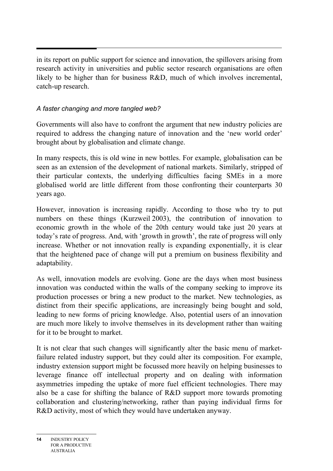$\overline{a}$ in its report on public support for science and innovation, the spillovers arising from research activity in universities and public sector research organisations are often likely to be higher than for business R&D, much of which involves incremental, catch-up research.

### *A faster changing and more tangled web?*

Governments will also have to confront the argument that new industry policies are required to address the changing nature of innovation and the 'new world order' brought about by globalisation and climate change.

In many respects, this is old wine in new bottles. For example, globalisation can be seen as an extension of the development of national markets. Similarly, stripped of their particular contexts, the underlying difficulties facing SMEs in a more globalised world are little different from those confronting their counterparts 30 years ago.

However, innovation is increasing rapidly. According to those who try to put numbers on these things (Kurzweil 2003), the contribution of innovation to economic growth in the whole of the 20th century would take just 20 years at today's rate of progress. And, with 'growth in growth', the rate of progress will only increase. Whether or not innovation really is expanding exponentially, it is clear that the heightened pace of change will put a premium on business flexibility and adaptability.

As well, innovation models are evolving. Gone are the days when most business innovation was conducted within the walls of the company seeking to improve its production processes or bring a new product to the market. New technologies, as distinct from their specific applications, are increasingly being bought and sold, leading to new forms of pricing knowledge. Also, potential users of an innovation are much more likely to involve themselves in its development rather than waiting for it to be brought to market.

It is not clear that such changes will significantly alter the basic menu of marketfailure related industry support, but they could alter its composition. For example, industry extension support might be focussed more heavily on helping businesses to leverage finance off intellectual property and on dealing with information asymmetries impeding the uptake of more fuel efficient technologies. There may also be a case for shifting the balance of R&D support more towards promoting collaboration and clustering/networking, rather than paying individual firms for R&D activity, most of which they would have undertaken anyway.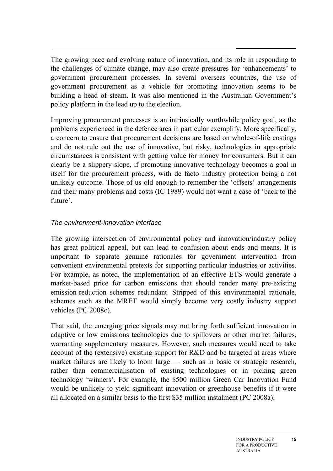$\overline{a}$ The growing pace and evolving nature of innovation, and its role in responding to the challenges of climate change, may also create pressures for 'enhancements' to government procurement processes. In several overseas countries, the use of government procurement as a vehicle for promoting innovation seems to be building a head of steam. It was also mentioned in the Australian Government's policy platform in the lead up to the election.

Improving procurement processes is an intrinsically worthwhile policy goal, as the problems experienced in the defence area in particular exemplify. More specifically, a concern to ensure that procurement decisions are based on whole-of-life costings and do not rule out the use of innovative, but risky, technologies in appropriate circumstances is consistent with getting value for money for consumers. But it can clearly be a slippery slope, if promoting innovative technology becomes a goal in itself for the procurement process, with de facto industry protection being a not unlikely outcome. Those of us old enough to remember the 'offsets' arrangements and their many problems and costs (IC 1989) would not want a case of 'back to the future'.

## *The environment-innovation interface*

The growing intersection of environmental policy and innovation/industry policy has great political appeal, but can lead to confusion about ends and means. It is important to separate genuine rationales for government intervention from convenient environmental pretexts for supporting particular industries or activities. For example, as noted, the implementation of an effective ETS would generate a market-based price for carbon emissions that should render many pre-existing emission-reduction schemes redundant. Stripped of this environmental rationale, schemes such as the MRET would simply become very costly industry support vehicles (PC 2008c).

That said, the emerging price signals may not bring forth sufficient innovation in adaptive or low emissions technologies due to spillovers or other market failures, warranting supplementary measures. However, such measures would need to take account of the (extensive) existing support for R&D and be targeted at areas where market failures are likely to loom large — such as in basic or strategic research, rather than commercialisation of existing technologies or in picking green technology 'winners'. For example, the \$500 million Green Car Innovation Fund would be unlikely to yield significant innovation or greenhouse benefits if it were all allocated on a similar basis to the first \$35 million instalment (PC 2008a).

**15**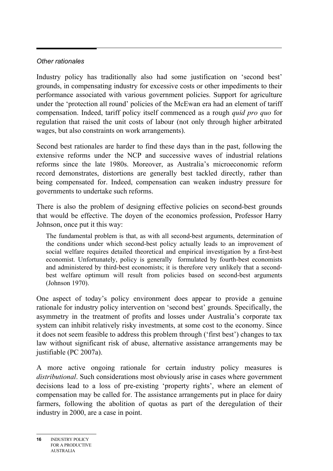#### *Other rationales*

Industry policy has traditionally also had some justification on 'second best' grounds, in compensating industry for excessive costs or other impediments to their performance associated with various government policies. Support for agriculture under the 'protection all round' policies of the McEwan era had an element of tariff compensation. Indeed, tariff policy itself commenced as a rough *quid pro quo* for regulation that raised the unit costs of labour (not only through higher arbitrated wages, but also constraints on work arrangements).

Second best rationales are harder to find these days than in the past, following the extensive reforms under the NCP and successive waves of industrial relations reforms since the late 1980s. Moreover, as Australia's microeconomic reform record demonstrates, distortions are generally best tackled directly, rather than being compensated for. Indeed, compensation can weaken industry pressure for governments to undertake such reforms.

There is also the problem of designing effective policies on second-best grounds that would be effective. The doyen of the economics profession, Professor Harry Johnson, once put it this way:

The fundamental problem is that, as with all second-best arguments, determination of the conditions under which second-best policy actually leads to an improvement of social welfare requires detailed theoretical and empirical investigation by a first-best economist. Unfortunately, policy is generally formulated by fourth-best economists and administered by third-best economists; it is therefore very unlikely that a secondbest welfare optimum will result from policies based on second-best arguments (Johnson 1970).

One aspect of today's policy environment does appear to provide a genuine rationale for industry policy intervention on 'second best' grounds. Specifically, the asymmetry in the treatment of profits and losses under Australia's corporate tax system can inhibit relatively risky investments, at some cost to the economy. Since it does not seem feasible to address this problem through ('first best') changes to tax law without significant risk of abuse, alternative assistance arrangements may be justifiable (PC 2007a).

A more active ongoing rationale for certain industry policy measures is *distributional*. Such considerations most obviously arise in cases where government decisions lead to a loss of pre-existing 'property rights', where an element of compensation may be called for. The assistance arrangements put in place for dairy farmers, following the abolition of quotas as part of the deregulation of their industry in 2000, are a case in point.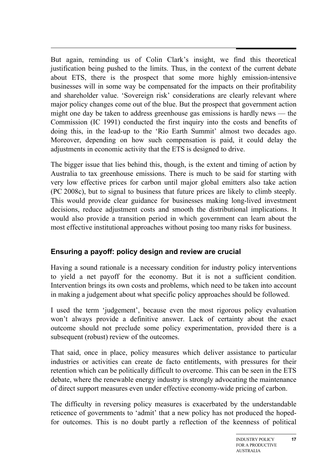$\overline{a}$ But again, reminding us of Colin Clark's insight, we find this theoretical justification being pushed to the limits. Thus, in the context of the current debate about ETS, there is the prospect that some more highly emission-intensive businesses will in some way be compensated for the impacts on their profitability and shareholder value. 'Sovereign risk' considerations are clearly relevant where major policy changes come out of the blue. But the prospect that government action might one day be taken to address greenhouse gas emissions is hardly news — the Commission (IC 1991) conducted the first inquiry into the costs and benefits of doing this, in the lead-up to the 'Rio Earth Summit' almost two decades ago. Moreover, depending on how such compensation is paid, it could delay the adjustments in economic activity that the ETS is designed to drive.

The bigger issue that lies behind this, though, is the extent and timing of action by Australia to tax greenhouse emissions. There is much to be said for starting with very low effective prices for carbon until major global emitters also take action (PC 2008c), but to signal to business that future prices are likely to climb steeply. This would provide clear guidance for businesses making long-lived investment decisions, reduce adjustment costs and smooth the distributional implications. It would also provide a transition period in which government can learn about the most effective institutional approaches without posing too many risks for business.

# **Ensuring a payoff: policy design and review are crucial**

Having a sound rationale is a necessary condition for industry policy interventions to yield a net payoff for the economy. But it is not a sufficient condition. Intervention brings its own costs and problems, which need to be taken into account in making a judgement about what specific policy approaches should be followed.

I used the term 'judgement', because even the most rigorous policy evaluation won't always provide a definitive answer. Lack of certainty about the exact outcome should not preclude some policy experimentation, provided there is a subsequent (robust) review of the outcomes.

That said, once in place, policy measures which deliver assistance to particular industries or activities can create de facto entitlements, with pressures for their retention which can be politically difficult to overcome. This can be seen in the ETS debate, where the renewable energy industry is strongly advocating the maintenance of direct support measures even under effective economy-wide pricing of carbon.

The difficulty in reversing policy measures is exacerbated by the understandable reticence of governments to 'admit' that a new policy has not produced the hopedfor outcomes. This is no doubt partly a reflection of the keenness of political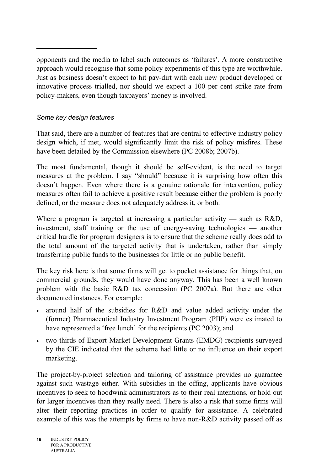opponents and the media to label such outcomes as 'failures'. A more constructive approach would recognise that some policy experiments of this type are worthwhile. Just as business doesn't expect to hit pay-dirt with each new product developed or innovative process trialled, nor should we expect a 100 per cent strike rate from policy-makers, even though taxpayers' money is involved.

## *Some key design features*

That said, there are a number of features that are central to effective industry policy design which, if met, would significantly limit the risk of policy misfires. These have been detailed by the Commission elsewhere (PC 2008b; 2007b).

The most fundamental, though it should be self-evident, is the need to target measures at the problem. I say "should" because it is surprising how often this doesn't happen. Even where there is a genuine rationale for intervention, policy measures often fail to achieve a positive result because either the problem is poorly defined, or the measure does not adequately address it, or both.

Where a program is targeted at increasing a particular activity — such as  $R&D$ , investment, staff training or the use of energy-saving technologies — another critical hurdle for program designers is to ensure that the scheme really does add to the total amount of the targeted activity that is undertaken, rather than simply transferring public funds to the businesses for little or no public benefit.

The key risk here is that some firms will get to pocket assistance for things that, on commercial grounds, they would have done anyway. This has been a well known problem with the basic R&D tax concession (PC 2007a). But there are other documented instances. For example:

- around half of the subsidies for R&D and value added activity under the (former) Pharmaceutical Industry Investment Program (PIIP) were estimated to have represented a 'free lunch' for the recipients (PC 2003); and
- two thirds of Export Market Development Grants (EMDG) recipients surveyed by the CIE indicated that the scheme had little or no influence on their export marketing.

The project-by-project selection and tailoring of assistance provides no guarantee against such wastage either. With subsidies in the offing, applicants have obvious incentives to seek to hoodwink administrators as to their real intentions, or hold out for larger incentives than they really need. There is also a risk that some firms will alter their reporting practices in order to qualify for assistance. A celebrated example of this was the attempts by firms to have non-R&D activity passed off as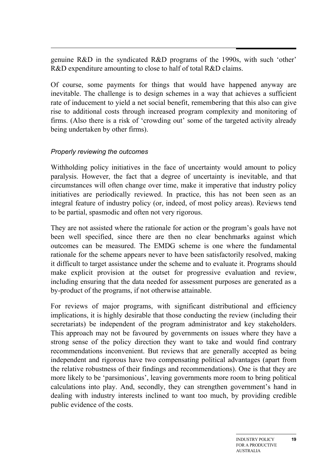genuine R&D in the syndicated R&D programs of the 1990s, with such 'other' R&D expenditure amounting to close to half of total R&D claims.

Of course, some payments for things that would have happened anyway are inevitable. The challenge is to design schemes in a way that achieves a sufficient rate of inducement to yield a net social benefit, remembering that this also can give rise to additional costs through increased program complexity and monitoring of firms. (Also there is a risk of 'crowding out' some of the targeted activity already being undertaken by other firms).

#### *Properly reviewing the outcomes*

Withholding policy initiatives in the face of uncertainty would amount to policy paralysis. However, the fact that a degree of uncertainty is inevitable, and that circumstances will often change over time, make it imperative that industry policy initiatives are periodically reviewed. In practice, this has not been seen as an integral feature of industry policy (or, indeed, of most policy areas). Reviews tend to be partial, spasmodic and often not very rigorous.

They are not assisted where the rationale for action or the program's goals have not been well specified, since there are then no clear benchmarks against which outcomes can be measured. The EMDG scheme is one where the fundamental rationale for the scheme appears never to have been satisfactorily resolved, making it difficult to target assistance under the scheme and to evaluate it. Programs should make explicit provision at the outset for progressive evaluation and review, including ensuring that the data needed for assessment purposes are generated as a by-product of the programs, if not otherwise attainable.

For reviews of major programs, with significant distributional and efficiency implications, it is highly desirable that those conducting the review (including their secretariats) be independent of the program administrator and key stakeholders. This approach may not be favoured by governments on issues where they have a strong sense of the policy direction they want to take and would find contrary recommendations inconvenient. But reviews that are generally accepted as being independent and rigorous have two compensating political advantages (apart from the relative robustness of their findings and recommendations). One is that they are more likely to be 'parsimonious', leaving governments more room to bring political calculations into play. And, secondly, they can strengthen government's hand in dealing with industry interests inclined to want too much, by providing credible public evidence of the costs.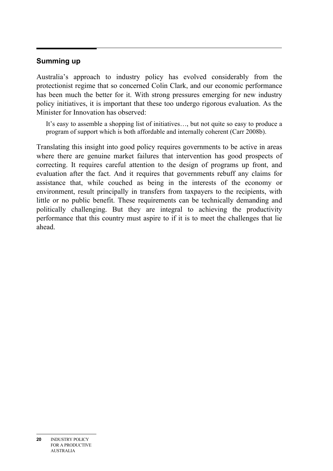### **Summing up**

Australia's approach to industry policy has evolved considerably from the protectionist regime that so concerned Colin Clark, and our economic performance has been much the better for it. With strong pressures emerging for new industry policy initiatives, it is important that these too undergo rigorous evaluation. As the Minister for Innovation has observed:

It's easy to assemble a shopping list of initiatives…, but not quite so easy to produce a program of support which is both affordable and internally coherent (Carr 2008b).

Translating this insight into good policy requires governments to be active in areas where there are genuine market failures that intervention has good prospects of correcting. It requires careful attention to the design of programs up front, and evaluation after the fact. And it requires that governments rebuff any claims for assistance that, while couched as being in the interests of the economy or environment, result principally in transfers from taxpayers to the recipients, with little or no public benefit. These requirements can be technically demanding and politically challenging. But they are integral to achieving the productivity performance that this country must aspire to if it is to meet the challenges that lie ahead.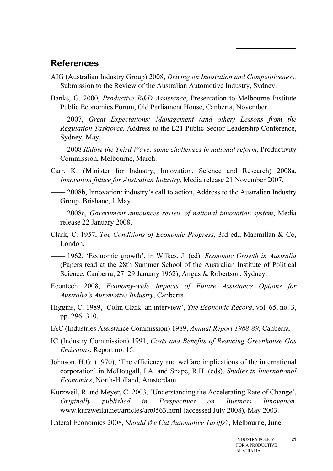# **References**

- AIG (Australian Industry Group) 2008, *Driving on Innovation and Competitiveness.* Submission to the Review of the Australian Automotive Industry, Sydney.
- Banks, G. 2000, *Productive R&D Assistance*, Presentation to Melbourne Institute Public Economics Forum, Old Parliament House, Canberra, November.
- —— 2007, *Great Expectations: Management (and other) Lessons from the Regulation Taskforce*, Address to the L21 Public Sector Leadership Conference, Sydney, May.
- —— 2008 *Riding the Third Wave: some challenges in national reform*, Productivity Commission, Melbourne, March.
- Carr, K. (Minister for Industry, Innovation, Science and Research) 2008a, *Innovation future for Australian Industry*, Media release 21 November 2007.
- —— 2008b, Innovation: industry's call to action, Address to the Australian Industry Group, Brisbane, 1 May.
- —— 2008c, *Government announces review of national innovation system*, Media release 22 January 2008.
- Clark, C. 1957, *The Conditions of Economic Progress*, 3rd ed., Macmillan & Co, London.
- —— 1962, 'Economic growth', in Wilkes, J. (ed), *Economic Growth in Australia*  (Papers read at the 28th Summer School of the Australian Institute of Political Science, Canberra, 27–29 January 1962), Angus & Robertson, Sydney.
- Econtech 2008, *Economy-wide Impacts of Future Assistance Options for Australia's Automotive Industry*, Canberra.
- Higgins, C. 1989, 'Colin Clark: an interview', *The Economic Record*, vol. 65, no. 3, pp. 296–310.
- IAC (Industries Assistance Commission) 1989, *Annual Report 1988-89*, Canberra.
- IC (Industry Commission) 1991, *Costs and Benefits of Reducing Greenhouse Gas Emissions*, Report no. 15.
- Johnson, H.G. (1970), 'The efficiency and welfare implications of the international corporation' in McDougall, I.A. and Snape, R.H. (eds), *Studies in International Economics*, North-Holland, Amsterdam.
- Kurzweil, R and Meyer, C. 2003, 'Understanding the Accelerating Rate of Change', *Originally published in Perspectives on Business Innovation.*  www.kurzweilai.net/articles/art0563.html (accessed July 2008), May 2003.
- Lateral Economics 2008, *Should We Cut Automotive Tariffs?*, Melbourne, June.